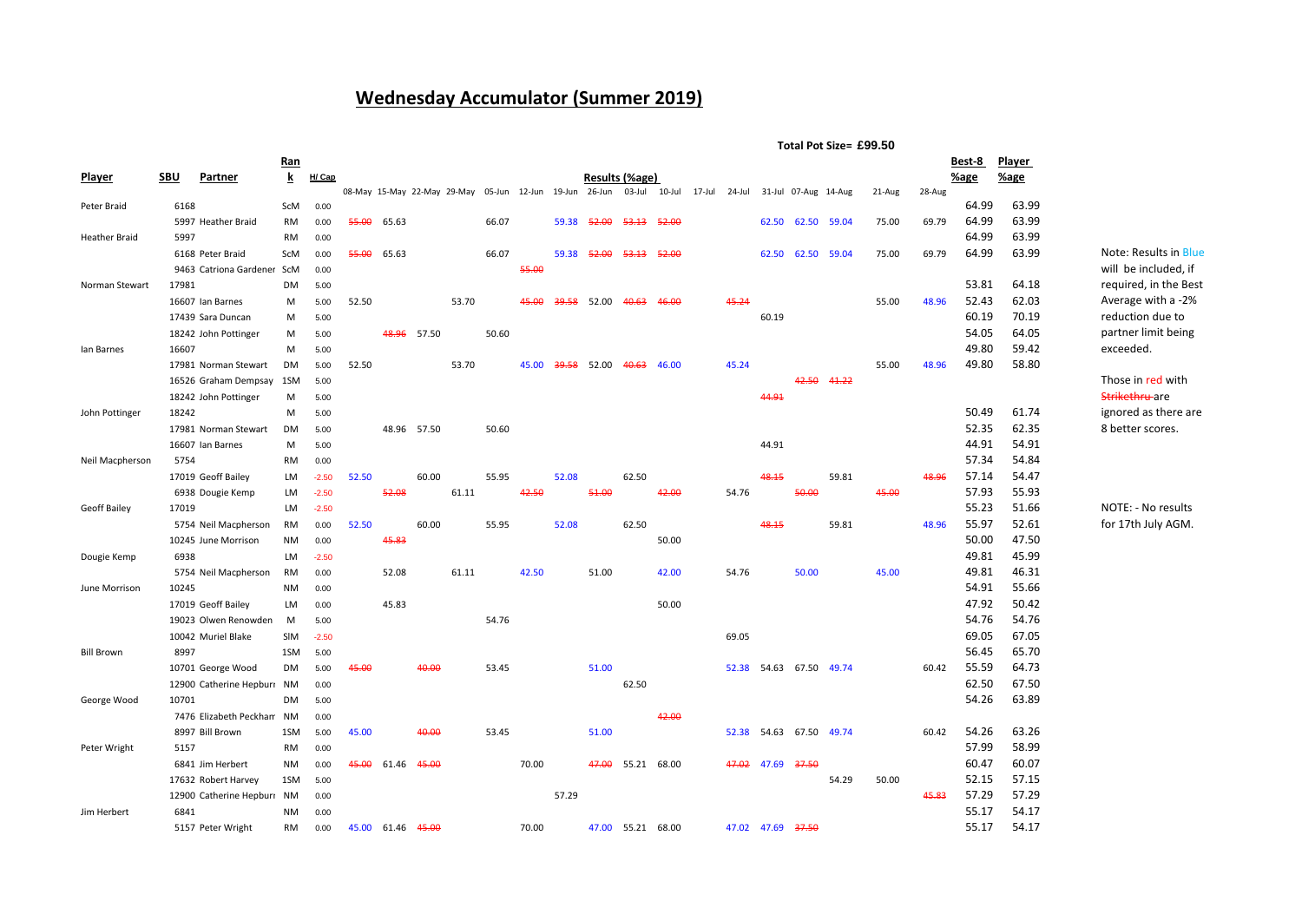## **Wednesday Accumulator (Summer 2019)**

| Player<br>Ran<br>Best-8<br>$\overline{\mathbf{k}}$<br>H/ Cap<br>Results (%age)<br>Player<br><b>SBU</b><br>Partner<br>%age<br><u>%age</u><br>08-May 15-May 22-May 29-May 05-Jun 12-Jun 19-Jun 26-Jun 03-Jul 10-Jul 17-Jul 24-Jul<br>31-Jul 07-Aug 14-Aug<br>28-Aug<br>21-Aug<br>64.99<br>63.99<br>6168<br>ScM<br>Peter Braid<br>0.00<br>64.99<br>63.99<br>75.00<br>55.00<br>66.07<br>59.38<br>52.00<br>52.00<br>62.50 62.50<br>69.79<br>5997 Heather Braid<br>RM<br>0.00<br>65.63<br><del>53.13</del><br>59.04<br>64.99<br>63.99<br><b>Heather Braid</b><br>5997<br>RM<br>0.00<br>63.99<br>64.99<br>55.00<br>66.07<br>59.38<br>52.00<br>62.50 62.50<br>59.04<br>75.00<br>69.79<br>N<br>6168 Peter Braid<br>ScM<br>0.00<br>65.63<br><del>53.13</del><br>52.00<br>55.00<br>9463 Catriona Gardener ScM<br>0.00<br>W<br>53.81<br>64.18<br>Norman Stewart<br>17981<br><b>DM</b><br>5.00<br>re<br>62.03<br>52.43<br>A<br>53.70<br>39.58 52.00<br>45.24<br>48.96<br>16607 Ian Barnes<br>52.50<br>45.00<br>40.63<br>46.00<br>55.00<br>м<br>5.00<br>70.19<br>60.19<br>17439 Sara Duncan<br>60.19<br>re<br>м<br>5.00<br>54.05<br>64.05<br>p<br>48.96<br>57.50<br>50.60<br>18242 John Pottinger<br>м<br>5.00<br>49.80<br>59.42<br>e:<br>lan Barnes<br>16607<br>M<br>5.00<br>49.80<br>58.80<br>53.70<br>45.24<br>55.00<br>48.96<br>DM<br>52.50<br><del>39.58</del><br>52.00<br><del>40.63</del><br>46.00<br>17981 Norman Stewart<br>5.00<br>45.00<br>TI<br>42.50<br>41.22<br>16526 Graham Dempsay 1SM<br>5.00<br>St<br>44.91<br>18242 John Pottinger<br>5.00<br>м<br>50.49<br>61.74<br>ig<br>John Pottinger<br>18242<br>м<br>5.00<br>62.35<br>52.35<br>8<br>17981 Norman Stewart<br>48.96 57.50<br>50.60<br>DM<br>5.00 |
|-----------------------------------------------------------------------------------------------------------------------------------------------------------------------------------------------------------------------------------------------------------------------------------------------------------------------------------------------------------------------------------------------------------------------------------------------------------------------------------------------------------------------------------------------------------------------------------------------------------------------------------------------------------------------------------------------------------------------------------------------------------------------------------------------------------------------------------------------------------------------------------------------------------------------------------------------------------------------------------------------------------------------------------------------------------------------------------------------------------------------------------------------------------------------------------------------------------------------------------------------------------------------------------------------------------------------------------------------------------------------------------------------------------------------------------------------------------------------------------------------------------------------------------------------------------------------------------------------------------------------------------------------------------------------------------------------------------|
|                                                                                                                                                                                                                                                                                                                                                                                                                                                                                                                                                                                                                                                                                                                                                                                                                                                                                                                                                                                                                                                                                                                                                                                                                                                                                                                                                                                                                                                                                                                                                                                                                                                                                                           |
|                                                                                                                                                                                                                                                                                                                                                                                                                                                                                                                                                                                                                                                                                                                                                                                                                                                                                                                                                                                                                                                                                                                                                                                                                                                                                                                                                                                                                                                                                                                                                                                                                                                                                                           |
|                                                                                                                                                                                                                                                                                                                                                                                                                                                                                                                                                                                                                                                                                                                                                                                                                                                                                                                                                                                                                                                                                                                                                                                                                                                                                                                                                                                                                                                                                                                                                                                                                                                                                                           |
|                                                                                                                                                                                                                                                                                                                                                                                                                                                                                                                                                                                                                                                                                                                                                                                                                                                                                                                                                                                                                                                                                                                                                                                                                                                                                                                                                                                                                                                                                                                                                                                                                                                                                                           |
|                                                                                                                                                                                                                                                                                                                                                                                                                                                                                                                                                                                                                                                                                                                                                                                                                                                                                                                                                                                                                                                                                                                                                                                                                                                                                                                                                                                                                                                                                                                                                                                                                                                                                                           |
|                                                                                                                                                                                                                                                                                                                                                                                                                                                                                                                                                                                                                                                                                                                                                                                                                                                                                                                                                                                                                                                                                                                                                                                                                                                                                                                                                                                                                                                                                                                                                                                                                                                                                                           |
|                                                                                                                                                                                                                                                                                                                                                                                                                                                                                                                                                                                                                                                                                                                                                                                                                                                                                                                                                                                                                                                                                                                                                                                                                                                                                                                                                                                                                                                                                                                                                                                                                                                                                                           |
|                                                                                                                                                                                                                                                                                                                                                                                                                                                                                                                                                                                                                                                                                                                                                                                                                                                                                                                                                                                                                                                                                                                                                                                                                                                                                                                                                                                                                                                                                                                                                                                                                                                                                                           |
|                                                                                                                                                                                                                                                                                                                                                                                                                                                                                                                                                                                                                                                                                                                                                                                                                                                                                                                                                                                                                                                                                                                                                                                                                                                                                                                                                                                                                                                                                                                                                                                                                                                                                                           |
|                                                                                                                                                                                                                                                                                                                                                                                                                                                                                                                                                                                                                                                                                                                                                                                                                                                                                                                                                                                                                                                                                                                                                                                                                                                                                                                                                                                                                                                                                                                                                                                                                                                                                                           |
|                                                                                                                                                                                                                                                                                                                                                                                                                                                                                                                                                                                                                                                                                                                                                                                                                                                                                                                                                                                                                                                                                                                                                                                                                                                                                                                                                                                                                                                                                                                                                                                                                                                                                                           |
|                                                                                                                                                                                                                                                                                                                                                                                                                                                                                                                                                                                                                                                                                                                                                                                                                                                                                                                                                                                                                                                                                                                                                                                                                                                                                                                                                                                                                                                                                                                                                                                                                                                                                                           |
|                                                                                                                                                                                                                                                                                                                                                                                                                                                                                                                                                                                                                                                                                                                                                                                                                                                                                                                                                                                                                                                                                                                                                                                                                                                                                                                                                                                                                                                                                                                                                                                                                                                                                                           |
|                                                                                                                                                                                                                                                                                                                                                                                                                                                                                                                                                                                                                                                                                                                                                                                                                                                                                                                                                                                                                                                                                                                                                                                                                                                                                                                                                                                                                                                                                                                                                                                                                                                                                                           |
|                                                                                                                                                                                                                                                                                                                                                                                                                                                                                                                                                                                                                                                                                                                                                                                                                                                                                                                                                                                                                                                                                                                                                                                                                                                                                                                                                                                                                                                                                                                                                                                                                                                                                                           |
|                                                                                                                                                                                                                                                                                                                                                                                                                                                                                                                                                                                                                                                                                                                                                                                                                                                                                                                                                                                                                                                                                                                                                                                                                                                                                                                                                                                                                                                                                                                                                                                                                                                                                                           |
|                                                                                                                                                                                                                                                                                                                                                                                                                                                                                                                                                                                                                                                                                                                                                                                                                                                                                                                                                                                                                                                                                                                                                                                                                                                                                                                                                                                                                                                                                                                                                                                                                                                                                                           |
|                                                                                                                                                                                                                                                                                                                                                                                                                                                                                                                                                                                                                                                                                                                                                                                                                                                                                                                                                                                                                                                                                                                                                                                                                                                                                                                                                                                                                                                                                                                                                                                                                                                                                                           |
| 44.91<br>54.91<br>44.91<br>16607 Ian Barnes<br>м<br>5.00                                                                                                                                                                                                                                                                                                                                                                                                                                                                                                                                                                                                                                                                                                                                                                                                                                                                                                                                                                                                                                                                                                                                                                                                                                                                                                                                                                                                                                                                                                                                                                                                                                                  |
| 57.34<br>54.84<br>5754<br>Neil Macpherson<br>RM<br>0.00                                                                                                                                                                                                                                                                                                                                                                                                                                                                                                                                                                                                                                                                                                                                                                                                                                                                                                                                                                                                                                                                                                                                                                                                                                                                                                                                                                                                                                                                                                                                                                                                                                                   |
| 57.14<br>52.50<br>60.00<br>55.95<br>52.08<br>62.50<br>48.15<br>59.81<br>48.96<br>54.47<br>17019 Geoff Bailey<br>LM<br>$-2.50$                                                                                                                                                                                                                                                                                                                                                                                                                                                                                                                                                                                                                                                                                                                                                                                                                                                                                                                                                                                                                                                                                                                                                                                                                                                                                                                                                                                                                                                                                                                                                                             |
| 57.93<br>55.93<br>52.08<br>61.11<br>51.00<br>54.76<br>50.00<br>45.00<br>42.50<br>42.00<br>6938 Dougie Kemp<br>LM<br>$-2.50$                                                                                                                                                                                                                                                                                                                                                                                                                                                                                                                                                                                                                                                                                                                                                                                                                                                                                                                                                                                                                                                                                                                                                                                                                                                                                                                                                                                                                                                                                                                                                                               |
| 55.23<br>51.66<br>Geoff Bailey<br>17019<br>N<br>LM<br>$-2.50$                                                                                                                                                                                                                                                                                                                                                                                                                                                                                                                                                                                                                                                                                                                                                                                                                                                                                                                                                                                                                                                                                                                                                                                                                                                                                                                                                                                                                                                                                                                                                                                                                                             |
| 55.97<br>52.61<br>fc<br>62.50<br>48.15<br>52.50<br>60.00<br>55.95<br>52.08<br>59.81<br>48.96<br>5754 Neil Macpherson<br>RM<br>0.00                                                                                                                                                                                                                                                                                                                                                                                                                                                                                                                                                                                                                                                                                                                                                                                                                                                                                                                                                                                                                                                                                                                                                                                                                                                                                                                                                                                                                                                                                                                                                                        |
| 50.00<br>47.50<br>45.83<br>50.00<br>10245 June Morrison<br>NM<br>0.00                                                                                                                                                                                                                                                                                                                                                                                                                                                                                                                                                                                                                                                                                                                                                                                                                                                                                                                                                                                                                                                                                                                                                                                                                                                                                                                                                                                                                                                                                                                                                                                                                                     |
| 49.81<br>45.99<br>6938<br>Dougie Kemp<br>LM.<br>$-2.50$                                                                                                                                                                                                                                                                                                                                                                                                                                                                                                                                                                                                                                                                                                                                                                                                                                                                                                                                                                                                                                                                                                                                                                                                                                                                                                                                                                                                                                                                                                                                                                                                                                                   |
| 49.81<br>46.31<br>61.11<br>51.00<br>45.00<br>5754 Neil Macpherson<br>RM<br>52.08<br>42.50<br>42.00<br>54.76<br>50.00<br>0.00                                                                                                                                                                                                                                                                                                                                                                                                                                                                                                                                                                                                                                                                                                                                                                                                                                                                                                                                                                                                                                                                                                                                                                                                                                                                                                                                                                                                                                                                                                                                                                              |
| 54.91<br>55.66<br>10245<br>June Morrison<br><b>NM</b><br>0.00                                                                                                                                                                                                                                                                                                                                                                                                                                                                                                                                                                                                                                                                                                                                                                                                                                                                                                                                                                                                                                                                                                                                                                                                                                                                                                                                                                                                                                                                                                                                                                                                                                             |
| 47.92<br>50.42<br>45.83<br>50.00<br>17019 Geoff Bailey<br>LM<br>0.00                                                                                                                                                                                                                                                                                                                                                                                                                                                                                                                                                                                                                                                                                                                                                                                                                                                                                                                                                                                                                                                                                                                                                                                                                                                                                                                                                                                                                                                                                                                                                                                                                                      |
| 54.76<br>54.76<br>19023 Olwen Renowden<br>54.76<br>M<br>5.00                                                                                                                                                                                                                                                                                                                                                                                                                                                                                                                                                                                                                                                                                                                                                                                                                                                                                                                                                                                                                                                                                                                                                                                                                                                                                                                                                                                                                                                                                                                                                                                                                                              |
| 69.05<br>67.05<br>69.05<br>10042 Muriel Blake<br>SIM<br>$-2.50$                                                                                                                                                                                                                                                                                                                                                                                                                                                                                                                                                                                                                                                                                                                                                                                                                                                                                                                                                                                                                                                                                                                                                                                                                                                                                                                                                                                                                                                                                                                                                                                                                                           |
| 56.45<br>65.70<br>8997<br><b>Bill Brown</b><br>1SM<br>5.00                                                                                                                                                                                                                                                                                                                                                                                                                                                                                                                                                                                                                                                                                                                                                                                                                                                                                                                                                                                                                                                                                                                                                                                                                                                                                                                                                                                                                                                                                                                                                                                                                                                |
| 55.59<br>64.73<br>51.00<br>60.42<br>10701 George Wood<br>45.00<br>40.00<br>53.45<br>52.38 54.63 67.50 49.74<br>DM<br>5.00                                                                                                                                                                                                                                                                                                                                                                                                                                                                                                                                                                                                                                                                                                                                                                                                                                                                                                                                                                                                                                                                                                                                                                                                                                                                                                                                                                                                                                                                                                                                                                                 |
| 67.50<br>62.50<br>62.50<br>12900 Catherine Hepburr NM<br>0.00                                                                                                                                                                                                                                                                                                                                                                                                                                                                                                                                                                                                                                                                                                                                                                                                                                                                                                                                                                                                                                                                                                                                                                                                                                                                                                                                                                                                                                                                                                                                                                                                                                             |
| 54.26<br>63.89<br>George Wood<br>10701<br>DM<br>5.00                                                                                                                                                                                                                                                                                                                                                                                                                                                                                                                                                                                                                                                                                                                                                                                                                                                                                                                                                                                                                                                                                                                                                                                                                                                                                                                                                                                                                                                                                                                                                                                                                                                      |
| 7476 Elizabeth Peckham NM<br>42.00<br>0.00                                                                                                                                                                                                                                                                                                                                                                                                                                                                                                                                                                                                                                                                                                                                                                                                                                                                                                                                                                                                                                                                                                                                                                                                                                                                                                                                                                                                                                                                                                                                                                                                                                                                |
| 54.26<br>63.26<br>8997 Bill Brown<br>45.00<br>40.00<br>53.45<br>51.00<br>52.38<br>54.63<br>67.50<br>49.74<br>60.42<br>1SM<br>5.00                                                                                                                                                                                                                                                                                                                                                                                                                                                                                                                                                                                                                                                                                                                                                                                                                                                                                                                                                                                                                                                                                                                                                                                                                                                                                                                                                                                                                                                                                                                                                                         |
| 57.99<br>58.99<br>Peter Wright<br>5157<br>RM<br>0.00                                                                                                                                                                                                                                                                                                                                                                                                                                                                                                                                                                                                                                                                                                                                                                                                                                                                                                                                                                                                                                                                                                                                                                                                                                                                                                                                                                                                                                                                                                                                                                                                                                                      |
| 60.47<br>60.07<br>47.02 47.69 37.50<br>45.00<br>61.46<br>70.00<br>47.00<br>55.21 68.00<br>6841 Jim Herbert<br>NΜ<br>0.00<br><del>45.00</del>                                                                                                                                                                                                                                                                                                                                                                                                                                                                                                                                                                                                                                                                                                                                                                                                                                                                                                                                                                                                                                                                                                                                                                                                                                                                                                                                                                                                                                                                                                                                                              |
| 57.15<br>50.00<br>52.15<br>1SM<br>54.29<br>17632 Robert Harvey<br>5.00                                                                                                                                                                                                                                                                                                                                                                                                                                                                                                                                                                                                                                                                                                                                                                                                                                                                                                                                                                                                                                                                                                                                                                                                                                                                                                                                                                                                                                                                                                                                                                                                                                    |
| 57.29<br>57.29<br>57.29<br>45.83<br>12900 Catherine Hepburr NM<br>0.00                                                                                                                                                                                                                                                                                                                                                                                                                                                                                                                                                                                                                                                                                                                                                                                                                                                                                                                                                                                                                                                                                                                                                                                                                                                                                                                                                                                                                                                                                                                                                                                                                                    |
| 6841<br>55.17<br>54.17<br>Jim Herbert<br>NM<br>0.00                                                                                                                                                                                                                                                                                                                                                                                                                                                                                                                                                                                                                                                                                                                                                                                                                                                                                                                                                                                                                                                                                                                                                                                                                                                                                                                                                                                                                                                                                                                                                                                                                                                       |
| 55.17<br>54.17<br>47.02 47.69 37.50<br>5157 Peter Wright<br>RM<br>0.00<br>45.00 61.46 45.00<br>70.00<br>47.00 55.21 68.00                                                                                                                                                                                                                                                                                                                                                                                                                                                                                                                                                                                                                                                                                                                                                                                                                                                                                                                                                                                                                                                                                                                                                                                                                                                                                                                                                                                                                                                                                                                                                                                 |

Note: Results in Blue will be included, if equired, in the Best Average with a -2% eduction due to partner limit being exceeded.

## Those in red with trikethru are

gnored as there are 8 better scores.

NOTE: - No results for 17th July AGM.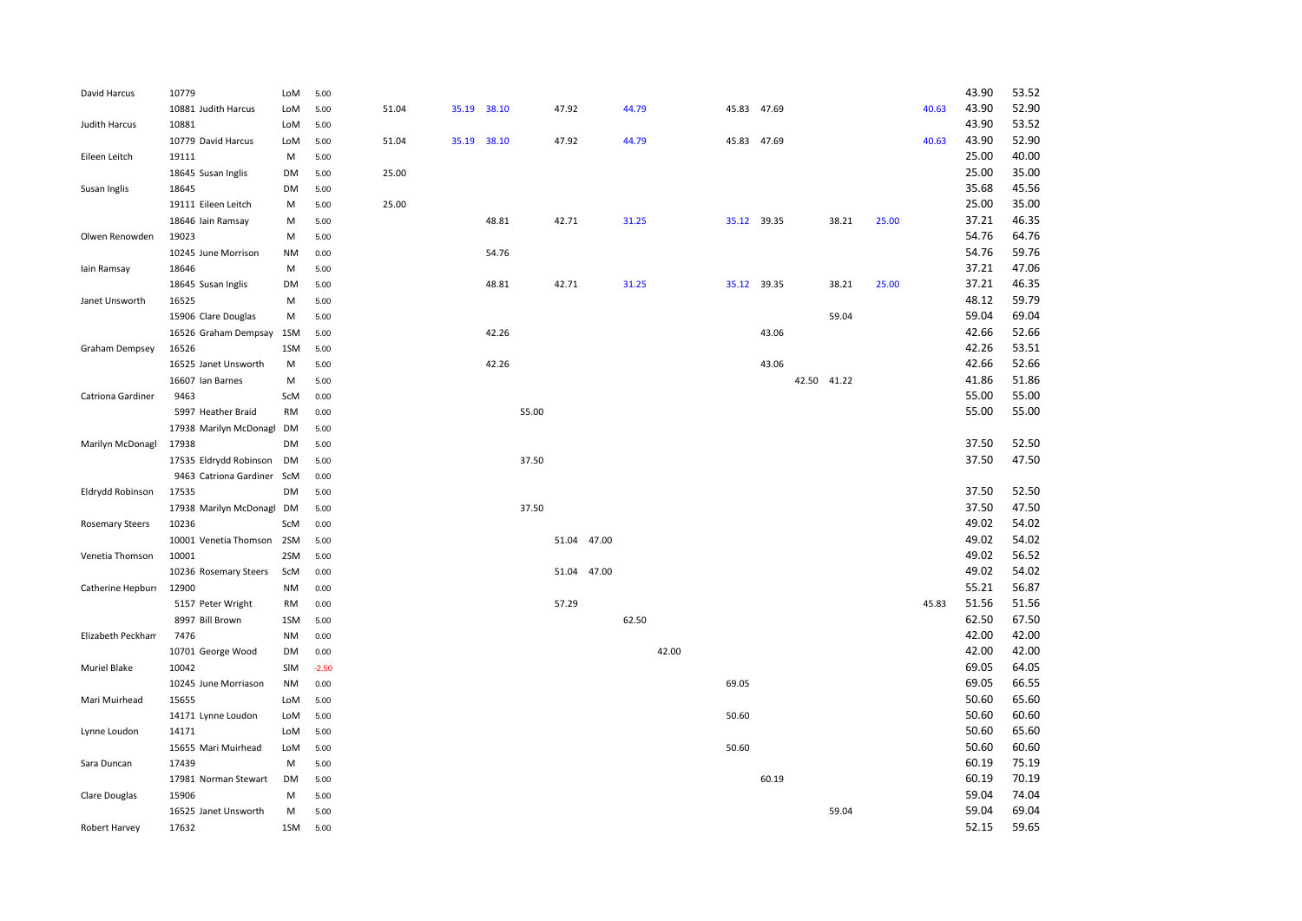| David Harcus           | 10779                      | LoM       | 5.00    |       |             |       |       |             |       |       |       |             |       |             |       |       | 43.90 | 53.52 |
|------------------------|----------------------------|-----------|---------|-------|-------------|-------|-------|-------------|-------|-------|-------|-------------|-------|-------------|-------|-------|-------|-------|
|                        | 10881 Judith Harcus        | LoM       | 5.00    | 51.04 | 35.19 38.10 |       |       | 47.92       |       | 44.79 |       | 45.83 47.69 |       |             |       | 40.63 | 43.90 | 52.90 |
| Judith Harcus          | 10881                      | LoM       | 5.00    |       |             |       |       |             |       |       |       |             |       |             |       |       | 43.90 | 53.52 |
|                        | 10779 David Harcus         | LoM       | 5.00    | 51.04 | 35.19       | 38.10 |       | 47.92       |       | 44.79 |       | 45.83       | 47.69 |             |       | 40.63 | 43.90 | 52.90 |
| Eileen Leitch          | 19111                      | M         | 5.00    |       |             |       |       |             |       |       |       |             |       |             |       |       | 25.00 | 40.00 |
|                        | 18645 Susan Inglis         | DM        | 5.00    | 25.00 |             |       |       |             |       |       |       |             |       |             |       |       | 25.00 | 35.00 |
| Susan Inglis           | 18645                      | <b>DM</b> | 5.00    |       |             |       |       |             |       |       |       |             |       |             |       |       | 35.68 | 45.56 |
|                        | 19111 Eileen Leitch        | M         | 5.00    | 25.00 |             |       |       |             |       |       |       |             |       |             |       |       | 25.00 | 35.00 |
|                        | 18646 Iain Ramsay          | M         | 5.00    |       |             | 48.81 |       | 42.71       |       | 31.25 |       | 35.12 39.35 |       | 38.21       | 25.00 |       | 37.21 | 46.35 |
| Olwen Renowden         | 19023                      | M         | 5.00    |       |             |       |       |             |       |       |       |             |       |             |       |       | 54.76 | 64.76 |
|                        | 10245 June Morrison        | ΝM        | 0.00    |       |             | 54.76 |       |             |       |       |       |             |       |             |       |       | 54.76 | 59.76 |
| lain Ramsay            | 18646                      | M         | 5.00    |       |             |       |       |             |       |       |       |             |       |             |       |       | 37.21 | 47.06 |
|                        | 18645 Susan Inglis         | DM        | 5.00    |       |             | 48.81 |       | 42.71       |       | 31.25 |       | 35.12 39.35 |       | 38.21       | 25.00 |       | 37.21 | 46.35 |
| Janet Unsworth         | 16525                      | M         | 5.00    |       |             |       |       |             |       |       |       |             |       |             |       |       | 48.12 | 59.79 |
|                        | 15906 Clare Douglas        | M         | 5.00    |       |             |       |       |             |       |       |       |             |       | 59.04       |       |       | 59.04 | 69.04 |
|                        | 16526 Graham Dempsay       | 1SM       | 5.00    |       |             | 42.26 |       |             |       |       |       |             | 43.06 |             |       |       | 42.66 | 52.66 |
| Graham Dempsey         | 16526                      | 1SM       | 5.00    |       |             |       |       |             |       |       |       |             |       |             |       |       | 42.26 | 53.51 |
|                        | 16525 Janet Unsworth       | M         | 5.00    |       |             | 42.26 |       |             |       |       |       |             | 43.06 |             |       |       | 42.66 | 52.66 |
|                        | 16607 Ian Barnes           | M         | 5.00    |       |             |       |       |             |       |       |       |             |       | 42.50 41.22 |       |       | 41.86 | 51.86 |
| Catriona Gardiner      | 9463                       | ScM       | 0.00    |       |             |       |       |             |       |       |       |             |       |             |       |       | 55.00 | 55.00 |
|                        | 5997 Heather Braid         | RM        | 0.00    |       |             |       | 55.00 |             |       |       |       |             |       |             |       |       | 55.00 | 55.00 |
|                        | 17938 Marilyn McDonagl     | DM        | 5.00    |       |             |       |       |             |       |       |       |             |       |             |       |       |       |       |
| Marilyn McDonagl       | 17938                      | DM        | 5.00    |       |             |       |       |             |       |       |       |             |       |             |       |       | 37.50 | 52.50 |
|                        | 17535 Eldrydd Robinson     | DM        | 5.00    |       |             |       | 37.50 |             |       |       |       |             |       |             |       |       | 37.50 | 47.50 |
|                        | 9463 Catriona Gardiner ScM |           | 0.00    |       |             |       |       |             |       |       |       |             |       |             |       |       |       |       |
| Eldrydd Robinson       | 17535                      | <b>DM</b> | 5.00    |       |             |       |       |             |       |       |       |             |       |             |       |       | 37.50 | 52.50 |
|                        | 17938 Marilyn McDonagl     | <b>DM</b> | 5.00    |       |             |       | 37.50 |             |       |       |       |             |       |             |       |       | 37.50 | 47.50 |
| <b>Rosemary Steers</b> | 10236                      | ScM       | 0.00    |       |             |       |       |             |       |       |       |             |       |             |       |       | 49.02 | 54.02 |
|                        | 10001 Venetia Thomson      | 2SM       | 5.00    |       |             |       |       | 51.04 47.00 |       |       |       |             |       |             |       |       | 49.02 | 54.02 |
| Venetia Thomson        | 10001                      | 2SM       | 5.00    |       |             |       |       |             |       |       |       |             |       |             |       |       | 49.02 | 56.52 |
|                        | 10236 Rosemary Steers      | ScM       | 0.00    |       |             |       |       | 51.04       | 47.00 |       |       |             |       |             |       |       | 49.02 | 54.02 |
| Catherine Hepburr      | 12900                      | NM        | 0.00    |       |             |       |       |             |       |       |       |             |       |             |       |       | 55.21 | 56.87 |
|                        | 5157 Peter Wright          | RM        | 0.00    |       |             |       |       | 57.29       |       |       |       |             |       |             |       | 45.83 | 51.56 | 51.56 |
|                        | 8997 Bill Brown            | 1SM       | 5.00    |       |             |       |       |             |       | 62.50 |       |             |       |             |       |       | 62.50 | 67.50 |
| Elizabeth Peckham      | 7476                       | <b>NM</b> | 0.00    |       |             |       |       |             |       |       |       |             |       |             |       |       | 42.00 | 42.00 |
|                        | 10701 George Wood          | DM        | 0.00    |       |             |       |       |             |       |       | 42.00 |             |       |             |       |       | 42.00 | 42.00 |
| Muriel Blake           | 10042                      | SIM       | $-2.50$ |       |             |       |       |             |       |       |       |             |       |             |       |       | 69.05 | 64.05 |
|                        | 10245 June Morriason       | <b>NM</b> | 0.00    |       |             |       |       |             |       |       |       | 69.05       |       |             |       |       | 69.05 | 66.55 |
| Mari Muirhead          | 15655                      | LoM       | 5.00    |       |             |       |       |             |       |       |       |             |       |             |       |       | 50.60 | 65.60 |
|                        | 14171 Lynne Loudon         | LoM       | 5.00    |       |             |       |       |             |       |       |       | 50.60       |       |             |       |       | 50.60 | 60.60 |
| Lynne Loudon           | 14171                      | LoM       | 5.00    |       |             |       |       |             |       |       |       |             |       |             |       |       | 50.60 | 65.60 |
|                        | 15655 Mari Muirhead        | LoM       | 5.00    |       |             |       |       |             |       |       |       | 50.60       |       |             |       |       | 50.60 | 60.60 |
| Sara Duncan            | 17439                      | M         | 5.00    |       |             |       |       |             |       |       |       |             |       |             |       |       | 60.19 | 75.19 |
|                        | 17981 Norman Stewart       | DM        | 5.00    |       |             |       |       |             |       |       |       |             | 60.19 |             |       |       | 60.19 | 70.19 |
| Clare Douglas          | 15906                      | M         | 5.00    |       |             |       |       |             |       |       |       |             |       |             |       |       | 59.04 | 74.04 |
|                        | 16525 Janet Unsworth       | M         | 5.00    |       |             |       |       |             |       |       |       |             |       | 59.04       |       |       | 59.04 | 69.04 |
| Robert Harvey          | 17632                      | 1SM       | 5.00    |       |             |       |       |             |       |       |       |             |       |             |       |       | 52.15 | 59.65 |
|                        |                            |           |         |       |             |       |       |             |       |       |       |             |       |             |       |       |       |       |